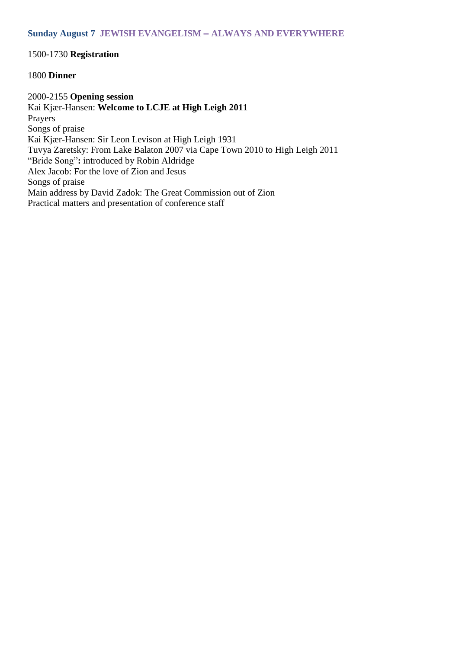# 1500-1730 **Registration**

### 1800 **Dinner**

2000-2155 **Opening session** Kai Kjær-Hansen: **Welcome to LCJE at High Leigh 2011** Prayers Songs of praise Kai Kjær-Hansen: Sir Leon Levison at High Leigh 1931 Tuvya Zaretsky: From Lake Balaton 2007 via Cape Town 2010 to High Leigh 2011 "Bride Song"**:** introduced by Robin Aldridge Alex Jacob: For the love of Zion and Jesus Songs of praise Main address by David Zadok: The Great Commission out of Zion Practical matters and presentation of conference staff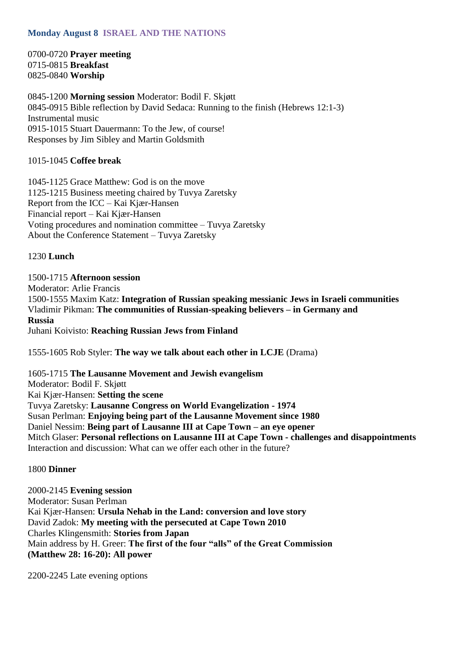# **Monday August 8 ISRAEL AND THE NATIONS**

0700-0720 **Prayer meeting** 0715-0815 **Breakfast** 0825-0840 **Worship**

0845-1200 **Morning session** Moderator: Bodil F. Skjøtt 0845-0915 Bible reflection by David Sedaca: Running to the finish (Hebrews 12:1-3) Instrumental music 0915-1015 Stuart Dauermann: To the Jew, of course! Responses by Jim Sibley and Martin Goldsmith

1015-1045 **Coffee break**

1045-1125 Grace Matthew: God is on the move 1125-1215 Business meeting chaired by Tuvya Zaretsky Report from the ICC – Kai Kjær-Hansen Financial report – Kai Kjær-Hansen Voting procedures and nomination committee – Tuvya Zaretsky About the Conference Statement – Tuvya Zaretsky

1230 **Lunch**

1500-1715 **Afternoon session** Moderator: Arlie Francis 1500-1555 Maxim Katz: **Integration of Russian speaking messianic Jews in Israeli communities** Vladimir Pikman: **The communities of Russian-speaking believers – in Germany and Russia** Juhani Koivisto: **Reaching Russian Jews from Finland**

1555-1605 Rob Styler: **The way we talk about each other in LCJE** (Drama)

1605-1715 **The Lausanne Movement and Jewish evangelism** Moderator: Bodil F. Skjøtt Kai Kjær-Hansen: **Setting the scene** Tuvya Zaretsky: **Lausanne Congress on World Evangelization - 1974** Susan Perlman: **Enjoying being part of the Lausanne Movement since 1980** Daniel Nessim: **Being part of Lausanne III at Cape Town – an eye opener** Mitch Glaser: **Personal reflections on Lausanne III at Cape Town - challenges and disappointments** Interaction and discussion: What can we offer each other in the future?

### 1800 **Dinner**

2000-2145 **Evening session** Moderator: Susan Perlman Kai Kjær-Hansen: **Ursula Nehab in the Land: conversion and love story** David Zadok: **My meeting with the persecuted at Cape Town 2010** Charles Klingensmith: **Stories from Japan** Main address by H. Greer: **The first of the four "alls" of the Great Commission (Matthew 28: 16-20): All power**

2200-2245 Late evening options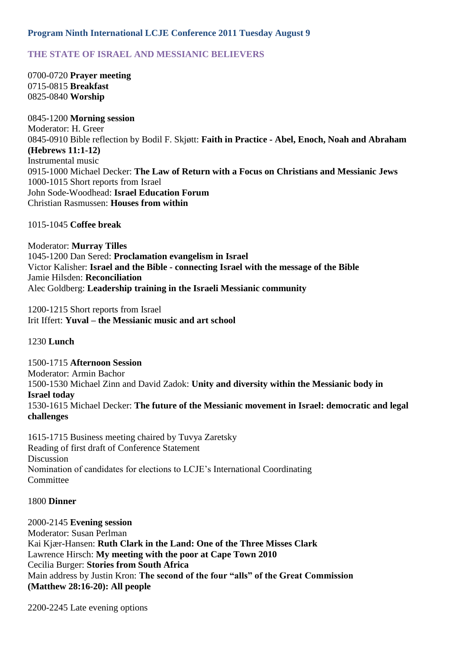## **Program Ninth International LCJE Conference 2011 Tuesday August 9**

# **THE STATE OF ISRAEL AND MESSIANIC BELIEVERS**

0700-0720 **Prayer meeting** 0715-0815 **Breakfast** 0825-0840 **Worship**

0845-1200 **Morning session** Moderator: H. Greer 0845-0910 Bible reflection by Bodil F. Skjøtt: **Faith in Practice - Abel, Enoch, Noah and Abraham (Hebrews 11:1-12)** Instrumental music 0915-1000 Michael Decker: **The Law of Return with a Focus on Christians and Messianic Jews** 1000-1015 Short reports from Israel John Sode-Woodhead: **Israel Education Forum** Christian Rasmussen: **Houses from within**

1015-1045 **Coffee break**

Moderator: **Murray Tilles** 1045-1200 Dan Sered: **Proclamation evangelism in Israel** Victor Kalisher: **Israel and the Bible - connecting Israel with the message of the Bible** Jamie Hilsden: **Reconciliation** Alec Goldberg: **Leadership training in the Israeli Messianic community**

1200-1215 Short reports from Israel Irit Iffert: **Yuval – the Messianic music and art school**

1230 **Lunch**

1500-1715 **Afternoon Session** Moderator: Armin Bachor 1500-1530 Michael Zinn and David Zadok: **Unity and diversity within the Messianic body in Israel today** 1530-1615 Michael Decker: **The future of the Messianic movement in Israel: democratic and legal challenges**

1615-1715 Business meeting chaired by Tuvya Zaretsky Reading of first draft of Conference Statement Discussion Nomination of candidates for elections to LCJE's International Coordinating **Committee** 

#### 1800 **Dinner**

2000-2145 **Evening session** Moderator: Susan Perlman Kai Kjær-Hansen: **Ruth Clark in the Land: One of the Three Misses Clark** Lawrence Hirsch: **My meeting with the poor at Cape Town 2010** Cecilia Burger: **Stories from South Africa** Main address by Justin Kron: **The second of the four "alls" of the Great Commission (Matthew 28:16-20): All people**

2200-2245 Late evening options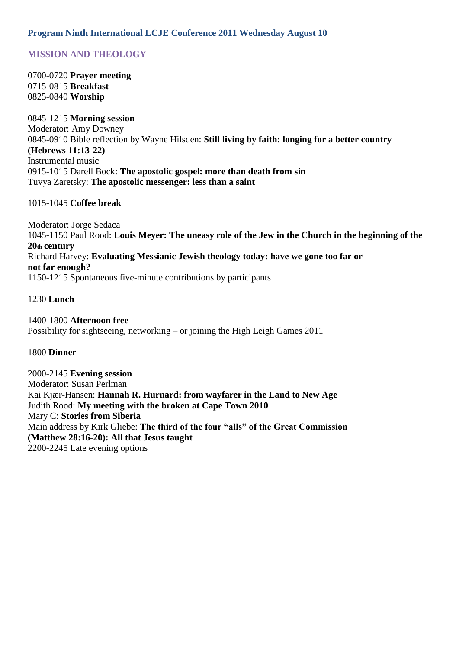# **Program Ninth International LCJE Conference 2011 Wednesday August 10**

# **MISSION AND THEOLOGY**

0700-0720 **Prayer meeting** 0715-0815 **Breakfast** 0825-0840 **Worship**

0845-1215 **Morning session** Moderator: Amy Downey 0845-0910 Bible reflection by Wayne Hilsden: **Still living by faith: longing for a better country (Hebrews 11:13-22)** Instrumental music 0915-1015 Darell Bock: **The apostolic gospel: more than death from sin** Tuvya Zaretsky: **The apostolic messenger: less than a saint**

### 1015-1045 **Coffee break**

Moderator: Jorge Sedaca 1045-1150 Paul Rood: **Louis Meyer: The uneasy role of the Jew in the Church in the beginning of the 20th century** Richard Harvey: **Evaluating Messianic Jewish theology today: have we gone too far or not far enough?** 1150-1215 Spontaneous five-minute contributions by participants

## 1230 **Lunch**

1400-1800 **Afternoon free** Possibility for sightseeing, networking – or joining the High Leigh Games 2011

#### 1800 **Dinner**

2000-2145 **Evening session** Moderator: Susan Perlman Kai Kjær-Hansen: **Hannah R. Hurnard: from wayfarer in the Land to New Age** Judith Rood: **My meeting with the broken at Cape Town 2010** Mary C: **Stories from Siberia** Main address by Kirk Gliebe: **The third of the four "alls" of the Great Commission (Matthew 28:16-20): All that Jesus taught** 2200-2245 Late evening options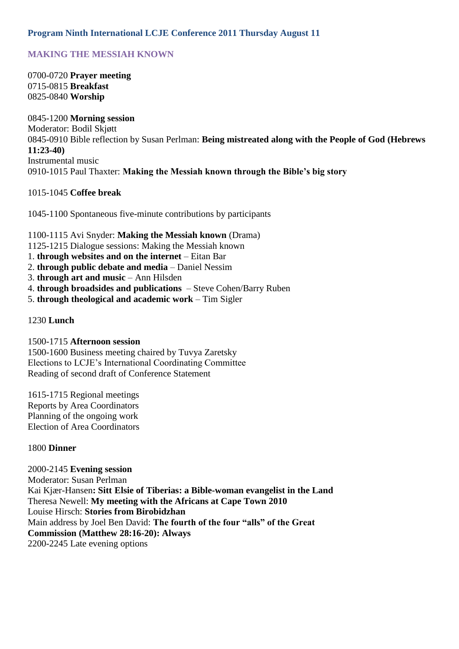# **Program Ninth International LCJE Conference 2011 Thursday August 11**

# **MAKING THE MESSIAH KNOWN**

0700-0720 **Prayer meeting** 0715-0815 **Breakfast** 0825-0840 **Worship**

0845-1200 **Morning session** Moderator: Bodil Skjøtt 0845-0910 Bible reflection by Susan Perlman: **Being mistreated along with the People of God (Hebrews 11:23-40)** Instrumental music 0910-1015 Paul Thaxter: **Making the Messiah known through the Bible's big story**

### 1015-1045 **Coffee break**

1045-1100 Spontaneous five-minute contributions by participants

1100-1115 Avi Snyder: **Making the Messiah known** (Drama) 1125-1215 Dialogue sessions: Making the Messiah known 1. **through websites and on the internet** – Eitan Bar 2. **through public debate and media** – Daniel Nessim 3. **through art and music** – Ann Hilsden

- 4. **through broadsides and publications**  Steve Cohen/Barry Ruben
- 5. **through theological and academic work** Tim Sigler

## 1230 **Lunch**

1500-1715 **Afternoon session** 1500-1600 Business meeting chaired by Tuvya Zaretsky Elections to LCJE's International Coordinating Committee Reading of second draft of Conference Statement

1615-1715 Regional meetings Reports by Area Coordinators Planning of the ongoing work Election of Area Coordinators

#### 1800 **Dinner**

#### 2000-2145 **Evening session**

Moderator: Susan Perlman Kai Kjær-Hansen**: Sitt Elsie of Tiberias: a Bible-woman evangelist in the Land** Theresa Newell: **My meeting with the Africans at Cape Town 2010** Louise Hirsch: **Stories from Birobidzhan** Main address by Joel Ben David: **The fourth of the four "alls" of the Great Commission (Matthew 28:16-20): Always** 2200-2245 Late evening options